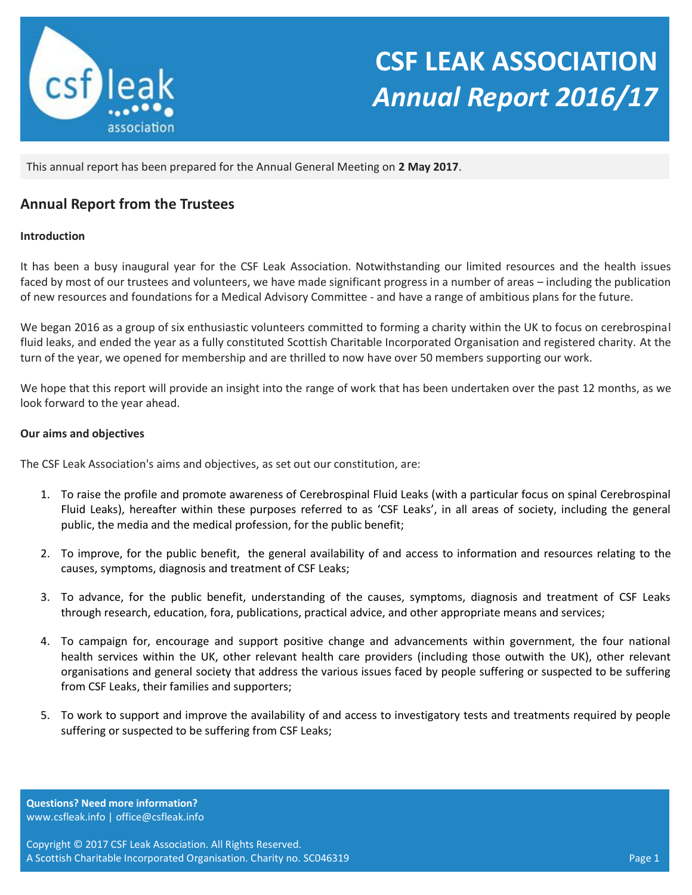

# **CSF LEAK ASSOCIATION** *Annual Report 2016/17*

This annual report has been prepared for the Annual General Meeting on **2 May 2017**.

# **Annual Report from the Trustees**

### **Introduction**

It has been a busy inaugural year for the CSF Leak Association. Notwithstanding our limited resources and the health issues faced by most of our trustees and volunteers, we have made significant progress in a number of areas – including the publication of new resources and foundations for a Medical Advisory Committee - and have a range of ambitious plans for the future.

We began 2016 as a group of six enthusiastic volunteers committed to forming a charity within the UK to focus on cerebrospinal fluid leaks, and ended the year as a fully constituted Scottish Charitable Incorporated Organisation and registered charity. At the turn of the year, we opened for membership and are thrilled to now have over 50 members supporting our work.

We hope that this report will provide an insight into the range of work that has been undertaken over the past 12 months, as we look forward to the year ahead.

#### **Our aims and objectives**

The CSF Leak Association's aims and objectives, as set out our constitution, are:

- 1. To raise the profile and promote awareness of Cerebrospinal Fluid Leaks (with a particular focus on spinal Cerebrospinal Fluid Leaks), hereafter within these purposes referred to as 'CSF Leaks', in all areas of society, including the general public, the media and the medical profession, for the public benefit;
- 2. To improve, for the public benefit, the general availability of and access to information and resources relating to the causes, symptoms, diagnosis and treatment of CSF Leaks;
- 3. To advance, for the public benefit, understanding of the causes, symptoms, diagnosis and treatment of CSF Leaks through research, education, fora, publications, practical advice, and other appropriate means and services;
- 4. To campaign for, encourage and support positive change and advancements within government, the four national health services within the UK, other relevant health care providers (including those outwith the UK), other relevant organisations and general society that address the various issues faced by people suffering or suspected to be suffering from CSF Leaks, their families and supporters;
- 5. To work to support and improve the availability of and access to investigatory tests and treatments required by people suffering or suspected to be suffering from CSF Leaks;

**Questions? Need more information?** www.csfleak.info | office@csfleak.info

Copyright © 2017 CSF Leak Association. All Rights Reserved. A Scottish Charitable Incorporated Organisation. Charity no. SC046319 Page 1 Page 1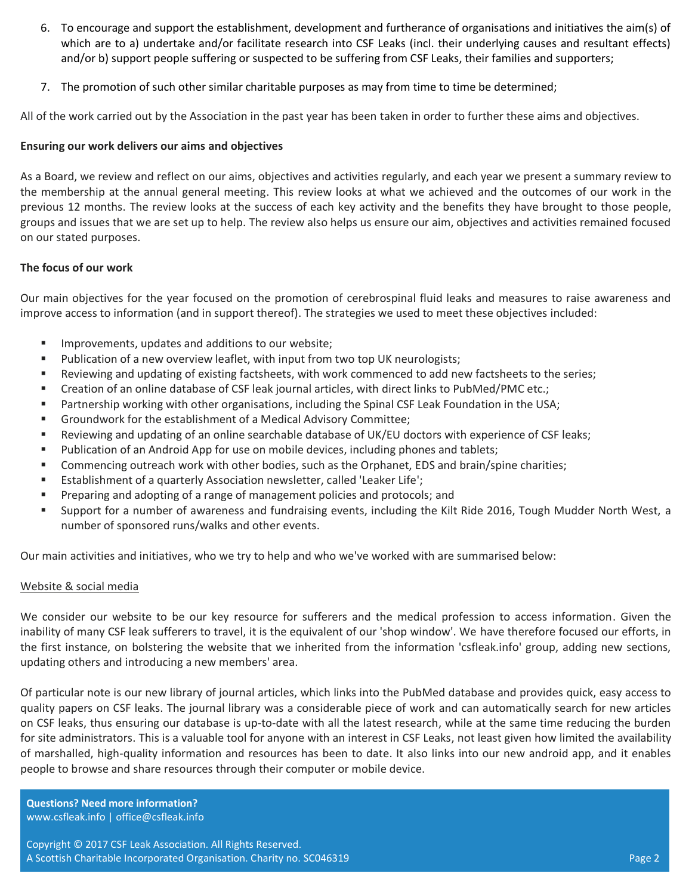- 6. To encourage and support the establishment, development and furtherance of organisations and initiatives the aim(s) of which are to a) undertake and/or facilitate research into CSF Leaks (incl. their underlying causes and resultant effects) and/or b) support people suffering or suspected to be suffering from CSF Leaks, their families and supporters;
- 7. The promotion of such other similar charitable purposes as may from time to time be determined;

All of the work carried out by the Association in the past year has been taken in order to further these aims and objectives.

# **Ensuring our work delivers our aims and objectives**

As a Board, we review and reflect on our aims, objectives and activities regularly, and each year we present a summary review to the membership at the annual general meeting. This review looks at what we achieved and the outcomes of our work in the previous 12 months. The review looks at the success of each key activity and the benefits they have brought to those people, groups and issues that we are set up to help. The review also helps us ensure our aim, objectives and activities remained focused on our stated purposes.

# **The focus of our work**

Our main objectives for the year focused on the promotion of cerebrospinal fluid leaks and measures to raise awareness and improve access to information (and in support thereof). The strategies we used to meet these objectives included:

- **IMPROVEMENTS, updates and additions to our website;**
- **Publication of a new overview leaflet, with input from two top UK neurologists;**
- Reviewing and updating of existing factsheets, with work commenced to add new factsheets to the series;
- Creation of an online database of CSF leak journal articles, with direct links to PubMed/PMC etc.;
- **Partnership working with other organisations, including the Spinal CSF Leak Foundation in the USA;**
- Groundwork for the establishment of a Medical Advisory Committee;
- Reviewing and updating of an online searchable database of UK/EU doctors with experience of CSF leaks;
- **Publication of an Android App for use on mobile devices, including phones and tablets;**
- Commencing outreach work with other bodies, such as the Orphanet, EDS and brain/spine charities;
- Establishment of a quarterly Association newsletter, called 'Leaker Life';
- **Preparing and adopting of a range of management policies and protocols; and**
- Support for a number of awareness and fundraising events, including the Kilt Ride 2016, Tough Mudder North West, a number of sponsored runs/walks and other events.

Our main activities and initiatives, who we try to help and who we've worked with are summarised below:

# Website & social media

We consider our website to be our key resource for sufferers and the medical profession to access information. Given the inability of many CSF leak sufferers to travel, it is the equivalent of our 'shop window'. We have therefore focused our efforts, in the first instance, on bolstering the website that we inherited from the information 'csfleak.info' group, adding new sections, updating others and introducing a new members' area.

Of particular note is our new library of journal articles, which links into the PubMed database and provides quick, easy access to quality papers on CSF leaks. The journal library was a considerable piece of work and can automatically search for new articles on CSF leaks, thus ensuring our database is up-to-date with all the latest research, while at the same time reducing the burden for site administrators. This is a valuable tool for anyone with an interest in CSF Leaks, not least given how limited the availability of marshalled, high-quality information and resources has been to date. It also links into our new android app, and it enables people to browse and share resources through their computer or mobile device.

**Questions? Need more information?** www.csfleak.info | office@csfleak.info

Copyright © 2017 CSF Leak Association. All Rights Reserved. A Scottish Charitable Incorporated Organisation. Charity no. SC046319 Page 2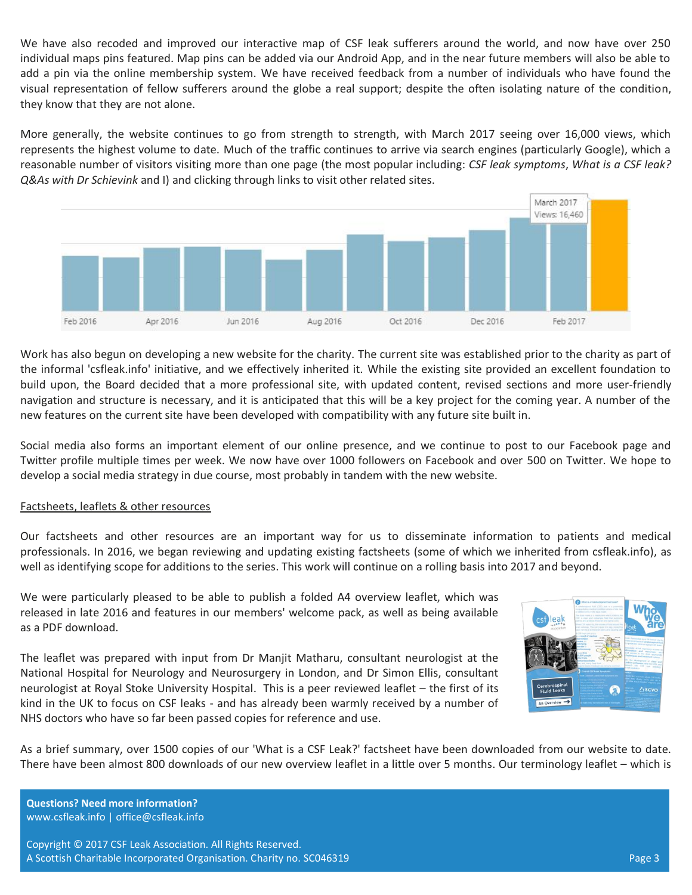We have also recoded and improved our interactive map of CSF leak sufferers around the world, and now have over 250 individual maps pins featured. Map pins can be added via our Android App, and in the near future members will also be able to add a pin via the online membership system. We have received feedback from a number of individuals who have found the visual representation of fellow sufferers around the globe a real support; despite the often isolating nature of the condition, they know that they are not alone.

More generally, the website continues to go from strength to strength, with March 2017 seeing over 16,000 views, which represents the highest volume to date. Much of the traffic continues to arrive via search engines (particularly Google), which a reasonable number of visitors visiting more than one page (the most popular including: *CSF leak symptoms*, *What is a CSF leak? Q&As with Dr Schievink* and I) and clicking through links to visit other related sites.



Work has also begun on developing a new website for the charity. The current site was established prior to the charity as part of the informal 'csfleak.info' initiative, and we effectively inherited it. While the existing site provided an excellent foundation to build upon, the Board decided that a more professional site, with updated content, revised sections and more user-friendly navigation and structure is necessary, and it is anticipated that this will be a key project for the coming year. A number of the new features on the current site have been developed with compatibility with any future site built in.

Social media also forms an important element of our online presence, and we continue to post to our Facebook page and Twitter profile multiple times per week. We now have over 1000 followers on Facebook and over 500 on Twitter. We hope to develop a social media strategy in due course, most probably in tandem with the new website.

#### Factsheets, leaflets & other resources

Our factsheets and other resources are an important way for us to disseminate information to patients and medical professionals. In 2016, we began reviewing and updating existing factsheets (some of which we inherited from csfleak.info), as well as identifying scope for additions to the series. This work will continue on a rolling basis into 2017 and beyond.

We were particularly pleased to be able to publish a folded A4 overview leaflet, which was released in late 2016 and features in our members' welcome pack, as well as being available as a PDF download.

The leaflet was prepared with input from Dr Manjit Matharu, consultant neurologist at the National Hospital for Neurology and Neurosurgery in London, and Dr Simon Ellis, consultant neurologist at Royal Stoke University Hospital. This is a peer reviewed leaflet – the first of its kind in the UK to focus on CSF leaks - and has already been warmly received by a number of NHS doctors who have so far been passed copies for reference and use.



As a brief summary, over 1500 copies of our 'What is a CSF Leak?' factsheet have been downloaded from our website to date. There have been almost 800 downloads of our new overview leaflet in a little over 5 months. Our terminology leaflet – which is

**Questions? Need more information?** www.csfleak.info | office@csfleak.info

Copyright © 2017 CSF Leak Association. All Rights Reserved. A Scottish Charitable Incorporated Organisation. Charity no. SC046319 Page 3 Page 3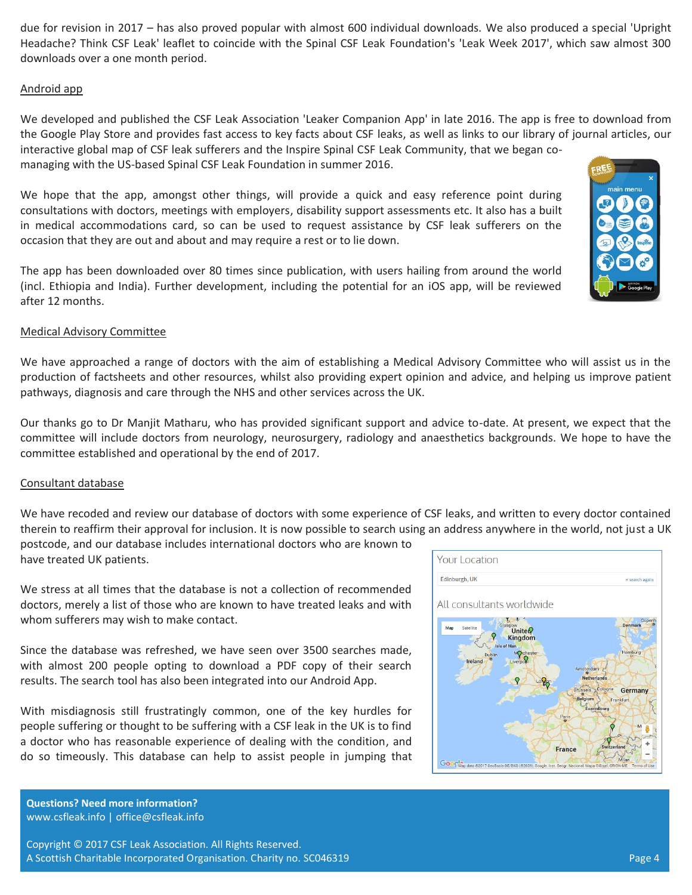due for revision in 2017 – has also proved popular with almost 600 individual downloads. We also produced a special 'Upright Headache? Think CSF Leak' leaflet to coincide with the Spinal CSF Leak Foundation's 'Leak Week 2017', which saw almost 300 downloads over a one month period.

# Android app

We developed and published the CSF Leak Association 'Leaker Companion App' in late 2016. The app is free to download from the Google Play Store and provides fast access to key facts about CSF leaks, as well as links to our library of journal articles, our interactive global map of CSF leak sufferers and the Inspire Spinal CSF Leak Community, that we began comanaging with the US-based Spinal CSF Leak Foundation in summer 2016.

We hope that the app, amongst other things, will provide a quick and easy reference point during consultations with doctors, meetings with employers, disability support assessments etc. It also has a built in medical accommodations card, so can be used to request assistance by CSF leak sufferers on the occasion that they are out and about and may require a rest or to lie down.

The app has been downloaded over 80 times since publication, with users hailing from around the world (incl. Ethiopia and India). Further development, including the potential for an iOS app, will be reviewed after 12 months.

### Medical Advisory Committee

We have approached a range of doctors with the aim of establishing a Medical Advisory Committee who will assist us in the production of factsheets and other resources, whilst also providing expert opinion and advice, and helping us improve patient pathways, diagnosis and care through the NHS and other services across the UK.

Our thanks go to Dr Manjit Matharu, who has provided significant support and advice to-date. At present, we expect that the committee will include doctors from neurology, neurosurgery, radiology and anaesthetics backgrounds. We hope to have the committee established and operational by the end of 2017.

#### Consultant database

We have recoded and review our database of doctors with some experience of CSF leaks, and written to every doctor contained therein to reaffirm their approval for inclusion. It is now possible to search using an address anywhere in the world, not just a UK

postcode, and our database includes international doctors who are known to have treated UK patients.

We stress at all times that the database is not a collection of recommended doctors, merely a list of those who are known to have treated leaks and with whom sufferers may wish to make contact.

Since the database was refreshed, we have seen over 3500 searches made, with almost 200 people opting to download a PDF copy of their search results. The search tool has also been integrated into our Android App.

With misdiagnosis still frustratingly common, one of the key hurdles for people suffering or thought to be suffering with a CSF leak in the UK is to find a doctor who has reasonable experience of dealing with the condition, and do so timeously. This database can help to assist people in jumping that

| Edinburgh, UK             | » search again                                                             |
|---------------------------|----------------------------------------------------------------------------|
| All consultants worldwide |                                                                            |
| Map<br>Satellite          | Copenh<br><b>Denmark</b><br>Glasgow<br><b>Unite&amp;</b><br><b>Kingdom</b> |
| Dublin<br>Ireland         | Isle of Man<br>Hamburg<br><b>MO</b> nchester<br>Liverpool                  |
|                           | Amsterdam<br><b>Netherlands</b><br>Q                                       |
|                           | Cologne<br>Brussels<br>Germany                                             |
|                           | Belgium<br>Frankfurt                                                       |
|                           | <b>Luxembourg</b><br>Paris                                                 |
|                           | M                                                                          |
|                           |                                                                            |
|                           |                                                                            |

**Questions? Need more information?** www.csfleak.info | office@csfleak.info

Copyright © 2017 CSF Leak Association. All Rights Reserved. A Scottish Charitable Incorporated Organisation. Charity no. SC046319 Page 4

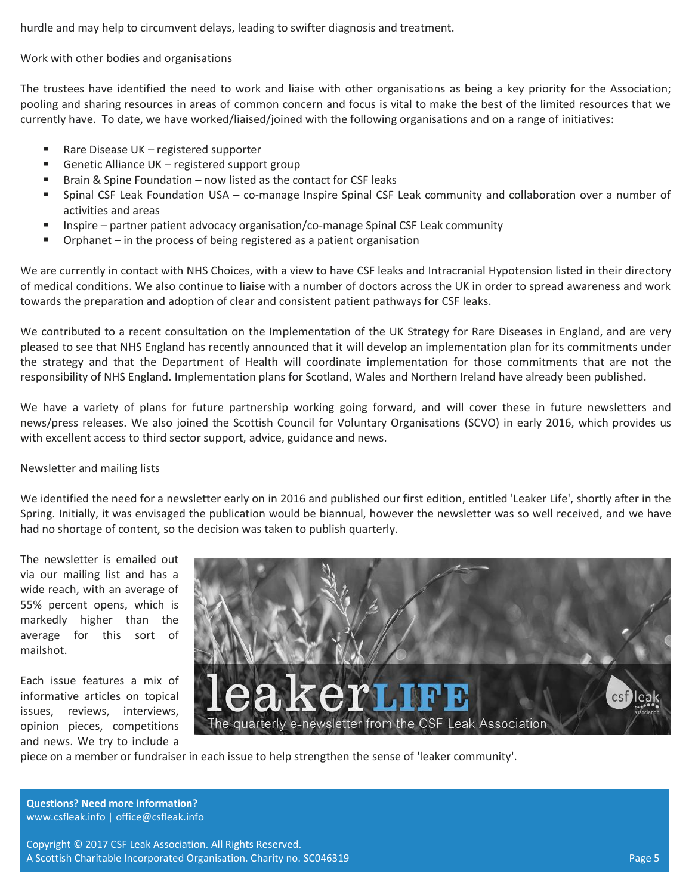hurdle and may help to circumvent delays, leading to swifter diagnosis and treatment.

#### Work with other bodies and organisations

The trustees have identified the need to work and liaise with other organisations as being a key priority for the Association; pooling and sharing resources in areas of common concern and focus is vital to make the best of the limited resources that we currently have. To date, we have worked/liaised/joined with the following organisations and on a range of initiatives:

- Rare Disease UK registered supporter
- Genetic Alliance UK registered support group
- Brain & Spine Foundation now listed as the contact for CSF leaks
- Spinal CSF Leak Foundation USA co-manage Inspire Spinal CSF Leak community and collaboration over a number of activities and areas
- Inspire partner patient advocacy organisation/co-manage Spinal CSF Leak community
- Orphanet in the process of being registered as a patient organisation

We are currently in contact with NHS Choices, with a view to have CSF leaks and Intracranial Hypotension listed in their directory of medical conditions. We also continue to liaise with a number of doctors across the UK in order to spread awareness and work towards the preparation and adoption of clear and consistent patient pathways for CSF leaks.

We contributed to a recent consultation on the Implementation of the UK Strategy for Rare Diseases in England, and are very pleased to see that NHS England has recently announced that it will develop an implementation plan for its commitments under the strategy and that the Department of Health will coordinate implementation for those commitments that are not the responsibility of NHS England. Implementation plans for Scotland, Wales and Northern Ireland have already been published.

We have a variety of plans for future partnership working going forward, and will cover these in future newsletters and news/press releases. We also joined the Scottish Council for Voluntary Organisations (SCVO) in early 2016, which provides us with excellent access to third sector support, advice, guidance and news.

# Newsletter and mailing lists

We identified the need for a newsletter early on in 2016 and published our first edition, entitled 'Leaker Life', shortly after in the Spring. Initially, it was envisaged the publication would be biannual, however the newsletter was so well received, and we have had no shortage of content, so the decision was taken to publish quarterly.

The newsletter is emailed out via our mailing list and has a wide reach, with an average of 55% percent opens, which is markedly higher than the average for this sort of mailshot.

Each issue features a mix of informative articles on topical issues, reviews, interviews, opinion pieces, competitions and news. We try to include a



piece on a member or fundraiser in each issue to help strengthen the sense of 'leaker community'.

**Questions? Need more information?** www.csfleak.info | office@csfleak.info

Copyright © 2017 CSF Leak Association. All Rights Reserved. A Scottish Charitable Incorporated Organisation. Charity no. SC046319 Page 5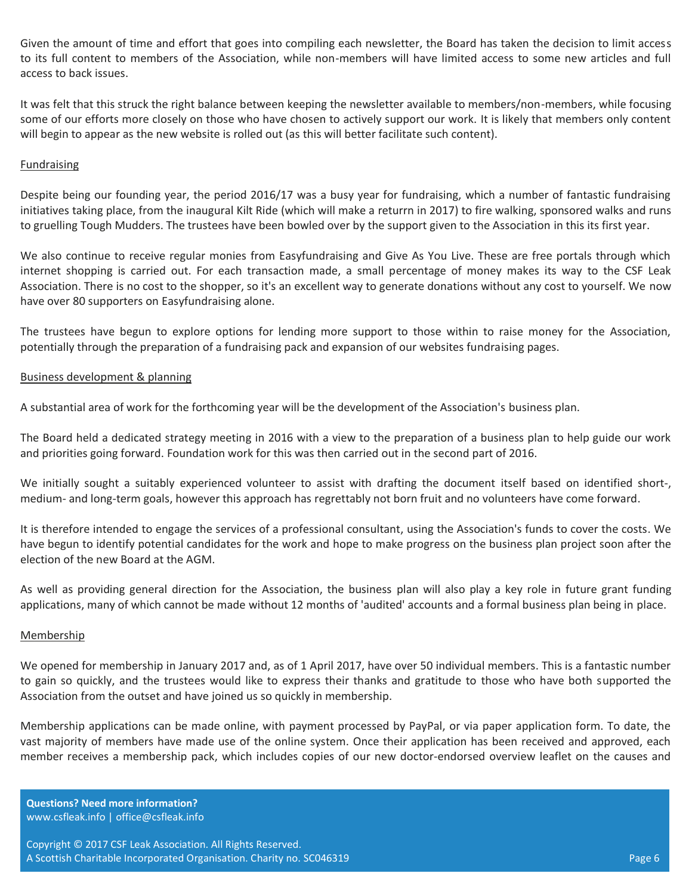Given the amount of time and effort that goes into compiling each newsletter, the Board has taken the decision to limit access to its full content to members of the Association, while non-members will have limited access to some new articles and full access to back issues.

It was felt that this struck the right balance between keeping the newsletter available to members/non-members, while focusing some of our efforts more closely on those who have chosen to actively support our work. It is likely that members only content will begin to appear as the new website is rolled out (as this will better facilitate such content).

### Fundraising

Despite being our founding year, the period 2016/17 was a busy year for fundraising, which a number of fantastic fundraising initiatives taking place, from the inaugural Kilt Ride (which will make a returrn in 2017) to fire walking, sponsored walks and runs to gruelling Tough Mudders. The trustees have been bowled over by the support given to the Association in this its first year.

We also continue to receive regular monies from Easyfundraising and Give As You Live. These are free portals through which internet shopping is carried out. For each transaction made, a small percentage of money makes its way to the CSF Leak Association. There is no cost to the shopper, so it's an excellent way to generate donations without any cost to yourself. We now have over 80 supporters on Easyfundraising alone.

The trustees have begun to explore options for lending more support to those within to raise money for the Association, potentially through the preparation of a fundraising pack and expansion of our websites fundraising pages.

#### Business development & planning

A substantial area of work for the forthcoming year will be the development of the Association's business plan.

The Board held a dedicated strategy meeting in 2016 with a view to the preparation of a business plan to help guide our work and priorities going forward. Foundation work for this was then carried out in the second part of 2016.

We initially sought a suitably experienced volunteer to assist with drafting the document itself based on identified short-, medium- and long-term goals, however this approach has regrettably not born fruit and no volunteers have come forward.

It is therefore intended to engage the services of a professional consultant, using the Association's funds to cover the costs. We have begun to identify potential candidates for the work and hope to make progress on the business plan project soon after the election of the new Board at the AGM.

As well as providing general direction for the Association, the business plan will also play a key role in future grant funding applications, many of which cannot be made without 12 months of 'audited' accounts and a formal business plan being in place.

#### Membership

We opened for membership in January 2017 and, as of 1 April 2017, have over 50 individual members. This is a fantastic number to gain so quickly, and the trustees would like to express their thanks and gratitude to those who have both supported the Association from the outset and have joined us so quickly in membership.

Membership applications can be made online, with payment processed by PayPal, or via paper application form. To date, the vast majority of members have made use of the online system. Once their application has been received and approved, each member receives a membership pack, which includes copies of our new doctor-endorsed overview leaflet on the causes and

**Questions? Need more information?** www.csfleak.info | office@csfleak.info

Copyright © 2017 CSF Leak Association. All Rights Reserved. A Scottish Charitable Incorporated Organisation. Charity no. SC046319 Page 6 Page 6